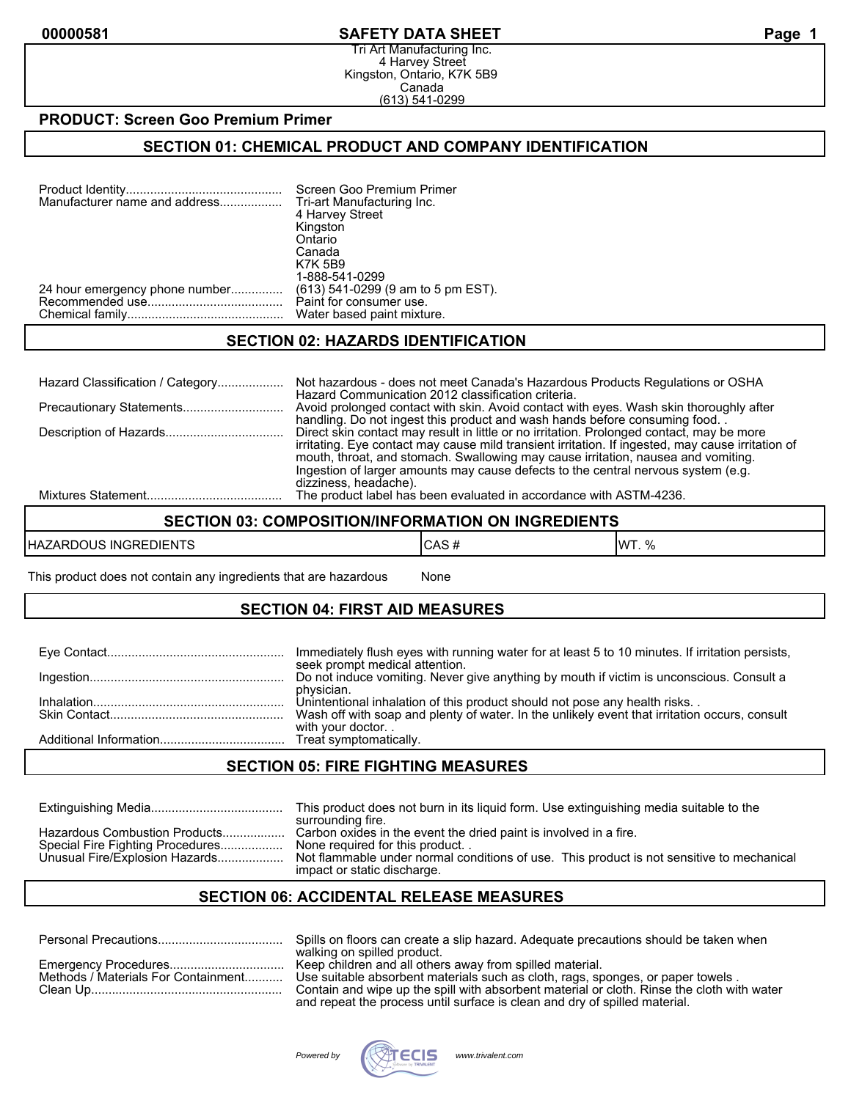#### **00000581 SAFETY DATA SHEET Page 1**

Tri Art Manufacturing Inc. 4 Harvey Street Kingston, Ontario, K7K 5B9 Canada (613) 541-0299

#### **PRODUCT: Screen Goo Premium Primer**

### **SECTION 01: CHEMICAL PRODUCT AND COMPANY IDENTIFICATION**

| Manufacturer name and address  | Screen Goo Premium Primer<br>Tri-art Manufacturing Inc. |
|--------------------------------|---------------------------------------------------------|
|                                | 4 Harvey Street<br>Kingston                             |
|                                | Ontario                                                 |
|                                | Canada                                                  |
|                                | <b>K7K 5B9</b>                                          |
|                                | 1-888-541-0299                                          |
| 24 hour emergency phone number | (613) 541-0299 (9 am to 5 pm EST).                      |
|                                | Paint for consumer use.                                 |
|                                | Water based paint mixture.                              |

#### **SECTION 02: HAZARDS IDENTIFICATION**

| Hazard Classification / Category | Not hazardous - does not meet Canada's Hazardous Products Regulations or OSHA                     |
|----------------------------------|---------------------------------------------------------------------------------------------------|
|                                  | Hazard Communication 2012 classification criteria.                                                |
| Precautionary Statements         | Avoid prolonged contact with skin. Avoid contact with eyes. Wash skin thoroughly after            |
|                                  | handling. Do not ingest this product and wash hands before consuming food                         |
|                                  | Direct skin contact may result in little or no irritation. Prolonged contact, may be more         |
|                                  | irritating. Eye contact may cause mild transient irritation. If ingested, may cause irritation of |
|                                  | mouth, throat, and stomach. Swallowing may cause irritation, nausea and vomiting.                 |
|                                  | Ingestion of larger amounts may cause defects to the central nervous system (e.g.                 |
|                                  | dizziness, headache).                                                                             |
|                                  | The product label has been evaluated in accordance with ASTM-4236.                                |

### **SECTION 03: COMPOSITION/INFORMATION ON INGREDIENTS**

| <b>INGREDIENTS</b><br>HAZA<br>วมร<br><br>\L/ | ۰Δ۰<br>60 H | $\overline{\phantom{a}}$<br>IW<br>$\mathbf{v}$<br>70 |
|----------------------------------------------|-------------|------------------------------------------------------|
|----------------------------------------------|-------------|------------------------------------------------------|

This product does not contain any ingredients that are hazardous Mone

### **SECTION 04: FIRST AID MEASURES**

| Immediately flush eyes with running water for at least 5 to 10 minutes. If irritation persists,<br>seek prompt medical attention.                                          |
|----------------------------------------------------------------------------------------------------------------------------------------------------------------------------|
| Do not induce vomiting. Never give anything by mouth if victim is unconscious. Consult a<br>physician.                                                                     |
| Unintentional inhalation of this product should not pose any health risks<br>Wash off with soap and plenty of water. In the unlikely event that irritation occurs, consult |
| with your doctor                                                                                                                                                           |

### **SECTION 05: FIRE FIGHTING MEASURES**

|                                                                                                     | This product does not burn in its liquid form. Use extinguishing media suitable to the<br>surrounding fire.                                                                                                                     |
|-----------------------------------------------------------------------------------------------------|---------------------------------------------------------------------------------------------------------------------------------------------------------------------------------------------------------------------------------|
| Hazardous Combustion Products<br>Special Fire Fighting Procedures<br>Unusual Fire/Explosion Hazards | Carbon oxides in the event the dried paint is involved in a fire.<br>None required for this product<br>Not flammable under normal conditions of use. This product is not sensitive to mechanical<br>impact or static discharge. |

## **SECTION 06: ACCIDENTAL RELEASE MEASURES**

| Spills on floors can create a slip hazard. Adequate precautions should be taken when                                |
|---------------------------------------------------------------------------------------------------------------------|
| walking on spilled product.                                                                                         |
|                                                                                                                     |
| Methods / Materials For Containment Use suitable absorbent materials such as cloth, rags, sponges, or paper towels. |
| Contain and wipe up the spill with absorbent material or cloth. Rinse the cloth with water                          |
| and repeat the process until surface is clean and dry of spilled material.                                          |

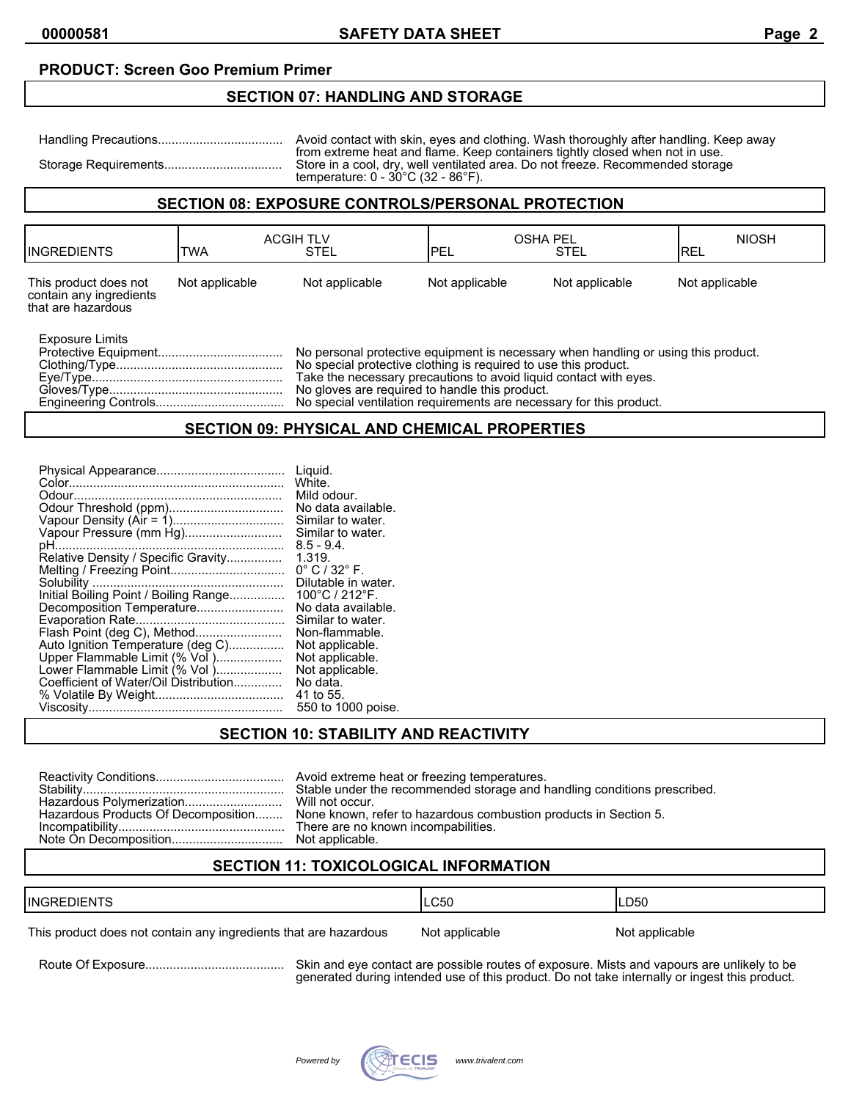### **PRODUCT: Screen Goo Premium Primer**

#### **SECTION 07: HANDLING AND STORAGE**

| Avoid contact with skin, eyes and clothing. Wash thoroughly after handling. Keep away                                                                                                                                     |
|---------------------------------------------------------------------------------------------------------------------------------------------------------------------------------------------------------------------------|
| from extreme heat and flame. Keep containers tightly closed when not in use.<br>Store in a cool, dry, well ventilated area. Do not freeze. Recommended storage<br>temperature: $0 - 30^{\circ}$ C (32 - 86 $^{\circ}$ F). |

## **SECTION 08: EXPOSURE CONTROLS/PERSONAL PROTECTION**

| <b>IINGREDIENTS</b>                                                    | <b>TWA</b>                                                                                                                                                                                                                                                                                                                                          | <b>ACGIH TLV</b><br><b>STEL</b> | <b>OSHA PEL</b><br>IPEL | <b>STEL</b>    | <b>NIOSH</b><br>IREL |
|------------------------------------------------------------------------|-----------------------------------------------------------------------------------------------------------------------------------------------------------------------------------------------------------------------------------------------------------------------------------------------------------------------------------------------------|---------------------------------|-------------------------|----------------|----------------------|
| This product does not<br>contain any ingredients<br>that are hazardous | Not applicable                                                                                                                                                                                                                                                                                                                                      | Not applicable                  | Not applicable          | Not applicable | Not applicable       |
| Exposure Limits                                                        | No personal protective equipment is necessary when handling or using this product.<br>No special protective clothing is required to use this product.<br>Take the necessary precautions to avoid liquid contact with eyes.<br>No gloves are required to handle this product.<br>No special ventilation requirements are necessary for this product. |                                 |                         |                |                      |

## **SECTION 09: PHYSICAL AND CHEMICAL PROPERTIES**

|                                       | Liquid.                          |
|---------------------------------------|----------------------------------|
|                                       | White.                           |
|                                       | Mild odour.                      |
|                                       | No data available.               |
|                                       | Similar to water.                |
| Vapour Pressure (mm Hg)               | Similar to water.                |
|                                       | $8.5 - 9.4$ .                    |
| Relative Density / Specific Gravity   | 1.319.                           |
|                                       | $0^{\circ}$ C / 32 $^{\circ}$ F. |
|                                       | Dilutable in water.              |
| Initial Boiling Point / Boiling Range | 100°C / 212°F.                   |
|                                       | No data available.               |
|                                       | Similar to water.                |
|                                       | Non-flammable.                   |
| Auto Ignition Temperature (deg C)     | Not applicable.                  |
| Upper Flammable Limit (% Vol )        | Not applicable.                  |
| Lower Flammable Limit (% Vol )        | Not applicable.                  |
| Coefficient of Water/Oil Distribution | No data.                         |
|                                       | 41 to 55.                        |
|                                       | 550 to 1000 poise.               |

## **SECTION 10: STABILITY AND REACTIVITY**

|                                     | Avoid extreme heat or freezing temperatures.                             |
|-------------------------------------|--------------------------------------------------------------------------|
|                                     | Stable under the recommended storage and handling conditions prescribed. |
|                                     | Will not occur.                                                          |
| Hazardous Products Of Decomposition | None known, refer to hazardous combustion products in Section 5.         |
|                                     | There are no known incompabilities.                                      |
|                                     | Not applicable.                                                          |

### **SECTION 11: TOXICOLOGICAL INFORMATION**

| <b>IINGREDIENTS</b>                                              | LC50           | LD50           |
|------------------------------------------------------------------|----------------|----------------|
| This product does not contain any ingredients that are hazardous | Not applicable | Not applicable |

Route Of Exposure........................................ Skin and eye contact are possible routes of exposure. Mists and vapours are unlikely to be generated during intended use of this product. Do not take internally or ingest this product.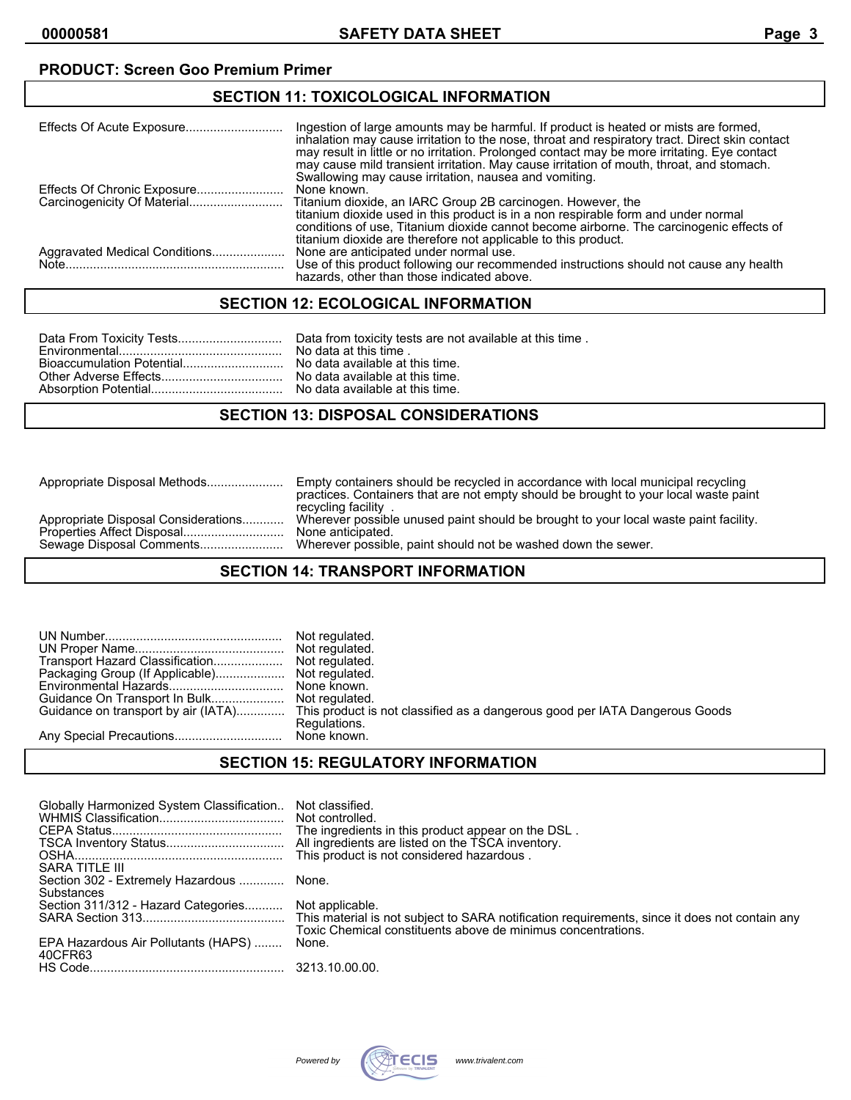## **PRODUCT: Screen Goo Premium Primer**

## **SECTION 11: TOXICOLOGICAL INFORMATION**

|                               | Ingestion of large amounts may be harmful. If product is heated or mists are formed,<br>inhalation may cause irritation to the nose, throat and respiratory tract. Direct skin contact<br>may result in little or no irritation. Prolonged contact may be more irritating. Eye contact<br>may cause mild transient irritation. May cause irritation of mouth, throat, and stomach.<br>Swallowing may cause irritation, nausea and vomiting. |
|-------------------------------|---------------------------------------------------------------------------------------------------------------------------------------------------------------------------------------------------------------------------------------------------------------------------------------------------------------------------------------------------------------------------------------------------------------------------------------------|
|                               | None known.                                                                                                                                                                                                                                                                                                                                                                                                                                 |
|                               | Titanium dioxide, an IARC Group 2B carcinogen. However, the<br>titanium dioxide used in this product is in a non respirable form and under normal<br>conditions of use, Titanium dioxide cannot become airborne. The carcinogenic effects of<br>titanium dioxide are therefore not applicable to this product.                                                                                                                              |
| Aggravated Medical Conditions | None are anticipated under normal use.<br>Use of this product following our recommended instructions should not cause any health<br>hazards, other than those indicated above.                                                                                                                                                                                                                                                              |

### **SECTION 12: ECOLOGICAL INFORMATION**

## **SECTION 13: DISPOSAL CONSIDERATIONS**

| Appropriate Disposal Considerations<br>None anticipated.<br>Wherever possible, paint should not be washed down the sewer.<br>Sewage Disposal Comments | Empty containers should be recycled in accordance with local municipal recycling<br>practices. Containers that are not empty should be brought to your local waste paint<br>recycling facility. |
|-------------------------------------------------------------------------------------------------------------------------------------------------------|-------------------------------------------------------------------------------------------------------------------------------------------------------------------------------------------------|
|                                                                                                                                                       | Wherever possible unused paint should be brought to your local waste paint facility.                                                                                                            |

## **SECTION 14: TRANSPORT INFORMATION**

|                                     | Not regulated.                                                              |
|-------------------------------------|-----------------------------------------------------------------------------|
|                                     | Not regulated.                                                              |
|                                     |                                                                             |
|                                     |                                                                             |
|                                     | None known.                                                                 |
| Guidance On Transport In Bulk       | Not regulated.                                                              |
| Guidance on transport by air (IATA) | This product is not classified as a dangerous good per IATA Dangerous Goods |
|                                     | Regulations.                                                                |
|                                     |                                                                             |

### **SECTION 15: REGULATORY INFORMATION**

| Globally Harmonized System Classification<br>SARA TITLE III | Not classified.<br>Not controlled.<br>The ingredients in this product appear on the DSL.<br>All ingredients are listed on the TSCA inventory. |
|-------------------------------------------------------------|-----------------------------------------------------------------------------------------------------------------------------------------------|
| Section 302 - Extremely Hazardous  None.<br>Substances      |                                                                                                                                               |
| Section 311/312 - Hazard Categories Not applicable.         | Toxic Chemical constituents above de minimus concentrations.                                                                                  |
| EPA Hazardous Air Pollutants (HAPS)                         | None.                                                                                                                                         |
| 40CFR63                                                     |                                                                                                                                               |